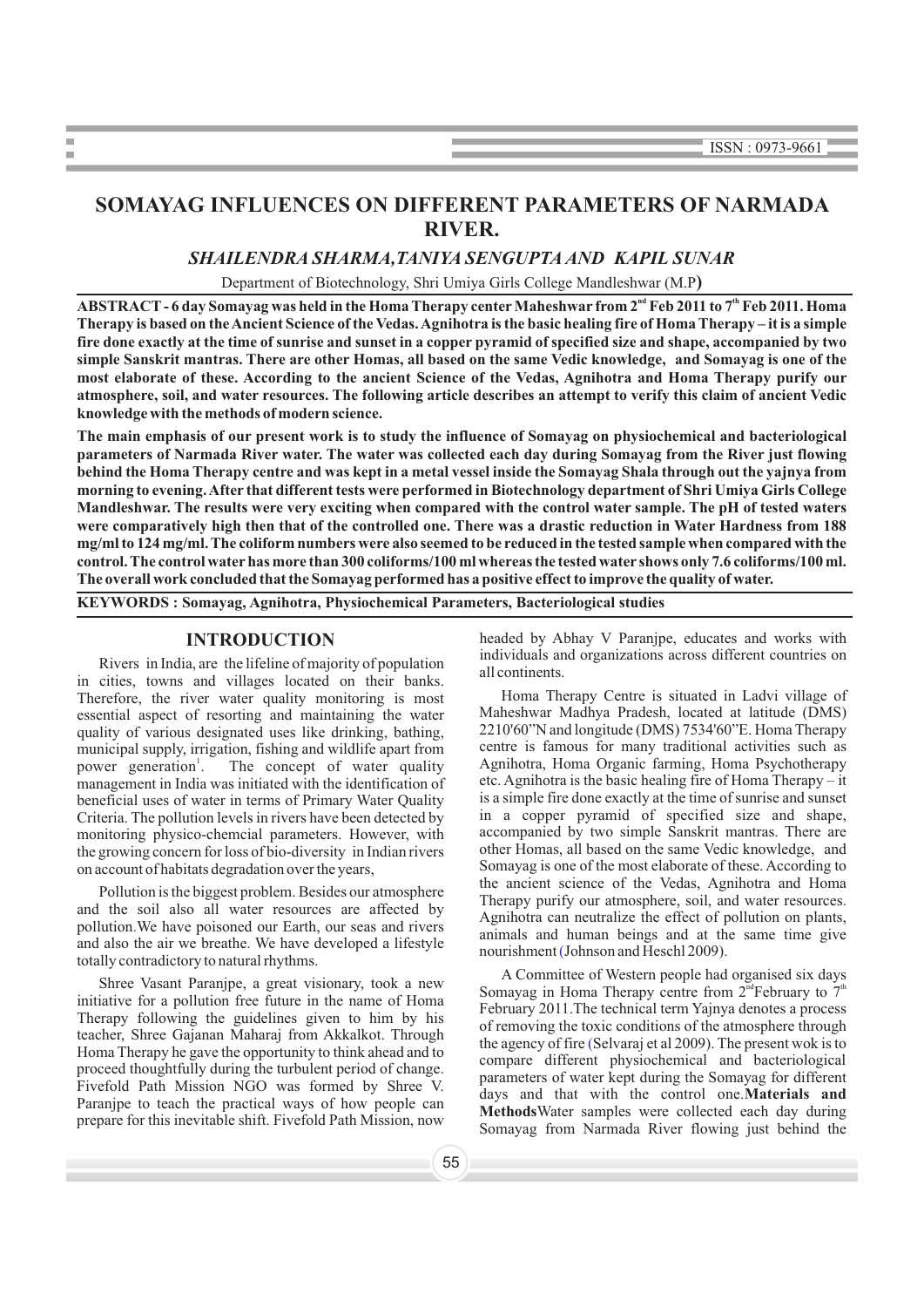# **SOMAYAG INFLUENCES ON DIFFERENT PARAMETERS OF NARMADA RIVER.**

## *SHAILENDRA SHARMA,TANIYA SENGUPTAAND KAPIL SUNAR*

Department of Biotechnology, Shri Umiya Girls College Mandleshwar (M.P**)**

**nd th ABSTRACT- 6 day Somayag was held in the Homa Therapy centerMaheshwar from 2 Feb 2011 to 7 Feb 2011. Homa Therapy is based on the Ancient Science of the Vedas. Agnihotra is the basic healing fire of Homa Therapy – it is a simple fire done exactly at the time of sunrise and sunset in a copperpyramid of specified size and shape, accompanied by two simple Sanskrit mantras. There are other Homas, all based on the same Vedic knowledge, and Somayag is one of the most elaborate of these. According to the ancient Science of the Vedas, Agnihotra and Homa Therapy purify our atmosphere, soil, and water resources. The following article describes an attempt to verify this claim of ancient Vedic knowledge with the methods of modern science.**

**The main emphasis of our present work is to study the influence of Somayag on physiochemical and bacteriological parameters of Narmada River water. The water was collected each day during Somayag from the River just flowing behind the Homa Therapy centre and was kept in a metal vessel inside the Somayag Shala through out the yajnya from morning to evening. After that different tests were performed in Biotechnology department of Shri Umiya Girls College Mandleshwar. The results were very exciting when compared with the control water sample. The pH of tested waters were comparatively high then that of the controlled one. There was a drastic reduction in Water Hardness from 188 mg/ml to 124 mg/ml. The coliform numbers were also seemed to be reduced in the tested sample when compared with the control. The control waterhas more than 300 coliforms/100 ml whereas the tested water shows only 7.6 coliforms/100 ml. The overall work concluded that the Somayag performed has a positive effect to improve the quality of water.**

**KEYWORDS : Somayag, Agnihotra, Physiochemical Parameters, Bacteriological studies**

**COL** 

Rivers in India, are the lifeline of majority of population<br>in cities, towns and villages located on their banks.<br>Therefore, the river water quality monitoring is most<br>Homa Therapy Centre is situated in Ladvi village of Therefore, the river water quality monitoring is most<br>essential aspect of resorting and maintaining the water Maheshwar Madhya Pradesh, located at latitude (DMS) essential aspect of resorting and maintaining the water Maheshwar Madhya Pradesh, located at latitude (DMS) roughly of various designated uses like drinking bathing 2210'60"N and longitude (DMS) 7534'60"E. Homa Therapy quality of various designated uses like drinking, bathing,  $2210'60''$  and longitude (DMS) 7534'60"E. Homa Therapy municipal supply irrigation, fishing and wildlife apart from centre is famous for many traditional activitie municipal supply, irrigation, fishing and wildlife apart from power generation<sup>1</sup>. management in India was initiated with the identification of etc. Agnihotra is the basic healing fire of Homa Therapy – it<br>
heneficial uses of water in terms of Primary Water Quality is a simple fire done exactly at the ti beneficial uses of water in terms of Primary Water Quality Criteria. The pollution levels in rivers have been detected by  $\frac{1}{2}$  in a copper pyramid of specified size and shape, monitoring physico-chemical parameters. However with accompanied by two simple Sanskrit mantras. The monitoring physico-chemcial parameters. However, with accompanied by two simple Sanskrit mantras. There are the growing concern for loss of bio-diversity in Indian rivers other Homas, all based on the same Vedic knowledge, the growing concern for loss of bio-diversity in Indian rivers

Pollution is the biggest problem. Besides our atmosphere and the ancient science of the Vedas, Agnihotra and Homa<br>and the soil also all water resources are affected by<br>pollution. We have poisoned our Earth, our seas and ri pollution. We have poisoned our Earth, our seas and rivers

The technical term Yajnya denotes a process<br>
The rapy following the guidelines given to him by his<br>
teacher, Shree Gajanan Maharaj from Akkalkot. Through<br>
Homa Therapy he gave the opportunity to think ahead and to<br>
the age proceed thoughtfully during the turbulent period of change.<br>Fivefold Path Mission NGO was formed by Shree V.<br>Paranjpe to teach the practical ways of how people can Paranjpe to teach the practical ways of how people can<br>prepare for this inevitable shift. Fivefold Path Mission, now

**INTRODUCTION** headed by Abhay V Paranjpe, educates and works with individuals and organizations across different countries on

1 The concept of water quality Agnihotra, Homa Organic farming, Homa Psychotherapy as initiated with the identification of etc. Agnihotra is the basic healing fire of Homa Therapy – it on account of habitats degradation over the years,<br>
Somayag is one of the most elaborate of these. According to the ancient science of the Vedas, Agnihotra and Homa Therapy purify our atmosphere, soil, and water resources. nourishment (Johnson and Heschl 2009).

Shree Vasant Paranjpe, a great visionary, took a new A Committee of Western people had organised six days initiative for a pollution free future in the name of Homa Therapy centre from 2<sup>nd</sup> February to 7<sup>th</sup> Therapy cent Somayag from Narmada River flowing just behind the the agency of fire (Selvaraj et al 2009). The present wok is to